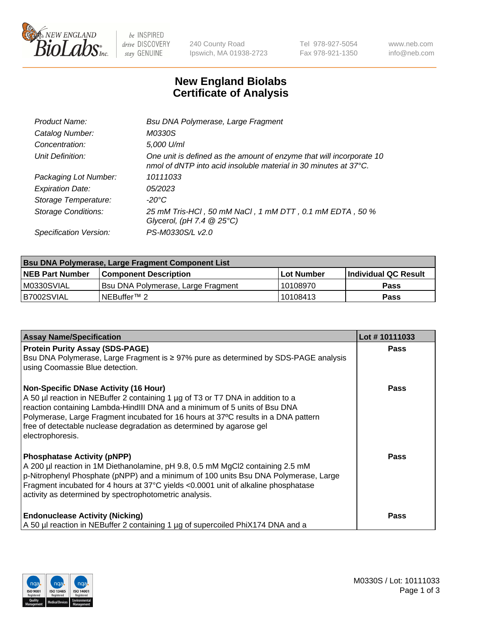

 $be$  INSPIRED drive DISCOVERY stay GENUINE

240 County Road Ipswich, MA 01938-2723 Tel 978-927-5054 Fax 978-921-1350 www.neb.com info@neb.com

## **New England Biolabs Certificate of Analysis**

| Product Name:           | Bsu DNA Polymerase, Large Fragment                                                                                                                 |
|-------------------------|----------------------------------------------------------------------------------------------------------------------------------------------------|
| Catalog Number:         | M0330S                                                                                                                                             |
| Concentration:          | 5,000 U/ml                                                                                                                                         |
| Unit Definition:        | One unit is defined as the amount of enzyme that will incorporate 10<br>nmol of dNTP into acid insoluble material in 30 minutes at $37^{\circ}$ C. |
| Packaging Lot Number:   | 10111033                                                                                                                                           |
| <b>Expiration Date:</b> | 05/2023                                                                                                                                            |
| Storage Temperature:    | $-20^{\circ}$ C                                                                                                                                    |
| Storage Conditions:     | 25 mM Tris-HCl, 50 mM NaCl, 1 mM DTT, 0.1 mM EDTA, 50 %<br>Glycerol, (pH 7.4 $@25°C$ )                                                             |
| Specification Version:  | PS-M0330S/L v2.0                                                                                                                                   |

| <b>Bsu DNA Polymerase, Large Fragment Component List</b> |                                    |                   |                      |  |  |
|----------------------------------------------------------|------------------------------------|-------------------|----------------------|--|--|
| <b>NEB Part Number</b>                                   | <b>Component Description</b>       | <b>Lot Number</b> | Individual QC Result |  |  |
| I M0330SVIAL                                             | Bsu DNA Polymerase, Large Fragment | 10108970          | <b>Pass</b>          |  |  |
| B7002SVIAL                                               | NEBuffer <sup>™</sup> 2            | 10108413          | <b>Pass</b>          |  |  |

| <b>Assay Name/Specification</b>                                                                                                                                                                                                                                                                                                                                                                 | Lot #10111033 |
|-------------------------------------------------------------------------------------------------------------------------------------------------------------------------------------------------------------------------------------------------------------------------------------------------------------------------------------------------------------------------------------------------|---------------|
| <b>Protein Purity Assay (SDS-PAGE)</b><br>Bsu DNA Polymerase, Large Fragment is ≥ 97% pure as determined by SDS-PAGE analysis<br>using Coomassie Blue detection.                                                                                                                                                                                                                                | Pass          |
| <b>Non-Specific DNase Activity (16 Hour)</b><br>A 50 µl reaction in NEBuffer 2 containing 1 µg of T3 or T7 DNA in addition to a<br>reaction containing Lambda-HindIII DNA and a minimum of 5 units of Bsu DNA<br>Polymerase, Large Fragment incubated for 16 hours at 37°C results in a DNA pattern<br>free of detectable nuclease degradation as determined by agarose gel<br>electrophoresis. | Pass          |
| <b>Phosphatase Activity (pNPP)</b><br>A 200 µl reaction in 1M Diethanolamine, pH 9.8, 0.5 mM MgCl2 containing 2.5 mM<br>p-Nitrophenyl Phosphate (pNPP) and a minimum of 100 units Bsu DNA Polymerase, Large<br>Fragment incubated for 4 hours at 37°C yields <0.0001 unit of alkaline phosphatase<br>activity as determined by spectrophotometric analysis.                                     | <b>Pass</b>   |
| <b>Endonuclease Activity (Nicking)</b><br>A 50 µl reaction in NEBuffer 2 containing 1 µg of supercoiled PhiX174 DNA and a                                                                                                                                                                                                                                                                       | Pass          |

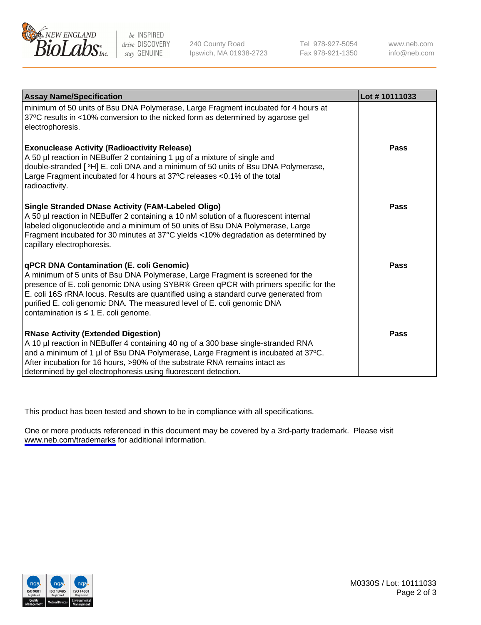

be INSPIRED drive DISCOVERY stay GENUINE

240 County Road Ipswich, MA 01938-2723 Tel 978-927-5054 Fax 978-921-1350

www.neb.com info@neb.com

| <b>Assay Name/Specification</b>                                                                                                                                                                                                                                                                                                                                                                                                           | Lot #10111033 |
|-------------------------------------------------------------------------------------------------------------------------------------------------------------------------------------------------------------------------------------------------------------------------------------------------------------------------------------------------------------------------------------------------------------------------------------------|---------------|
| minimum of 50 units of Bsu DNA Polymerase, Large Fragment incubated for 4 hours at<br>37°C results in <10% conversion to the nicked form as determined by agarose gel<br>electrophoresis.                                                                                                                                                                                                                                                 |               |
| <b>Exonuclease Activity (Radioactivity Release)</b><br>A 50 µl reaction in NEBuffer 2 containing 1 µg of a mixture of single and<br>double-stranded [3H] E. coli DNA and a minimum of 50 units of Bsu DNA Polymerase,<br>Large Fragment incubated for 4 hours at 37°C releases <0.1% of the total<br>radioactivity.                                                                                                                       | <b>Pass</b>   |
| <b>Single Stranded DNase Activity (FAM-Labeled Oligo)</b><br>A 50 µl reaction in NEBuffer 2 containing a 10 nM solution of a fluorescent internal<br>labeled oligonucleotide and a minimum of 50 units of Bsu DNA Polymerase, Large<br>Fragment incubated for 30 minutes at 37°C yields <10% degradation as determined by<br>capillary electrophoresis.                                                                                   | <b>Pass</b>   |
| <b>qPCR DNA Contamination (E. coli Genomic)</b><br>A minimum of 5 units of Bsu DNA Polymerase, Large Fragment is screened for the<br>presence of E. coli genomic DNA using SYBR® Green qPCR with primers specific for the<br>E. coli 16S rRNA locus. Results are quantified using a standard curve generated from<br>purified E. coli genomic DNA. The measured level of E. coli genomic DNA<br>contamination is $\leq 1$ E. coli genome. | Pass          |
| <b>RNase Activity (Extended Digestion)</b><br>A 10 µl reaction in NEBuffer 4 containing 40 ng of a 300 base single-stranded RNA<br>and a minimum of 1 µl of Bsu DNA Polymerase, Large Fragment is incubated at 37°C.<br>After incubation for 16 hours, >90% of the substrate RNA remains intact as<br>determined by gel electrophoresis using fluorescent detection.                                                                      | Pass          |

This product has been tested and shown to be in compliance with all specifications.

One or more products referenced in this document may be covered by a 3rd-party trademark. Please visit <www.neb.com/trademarks>for additional information.